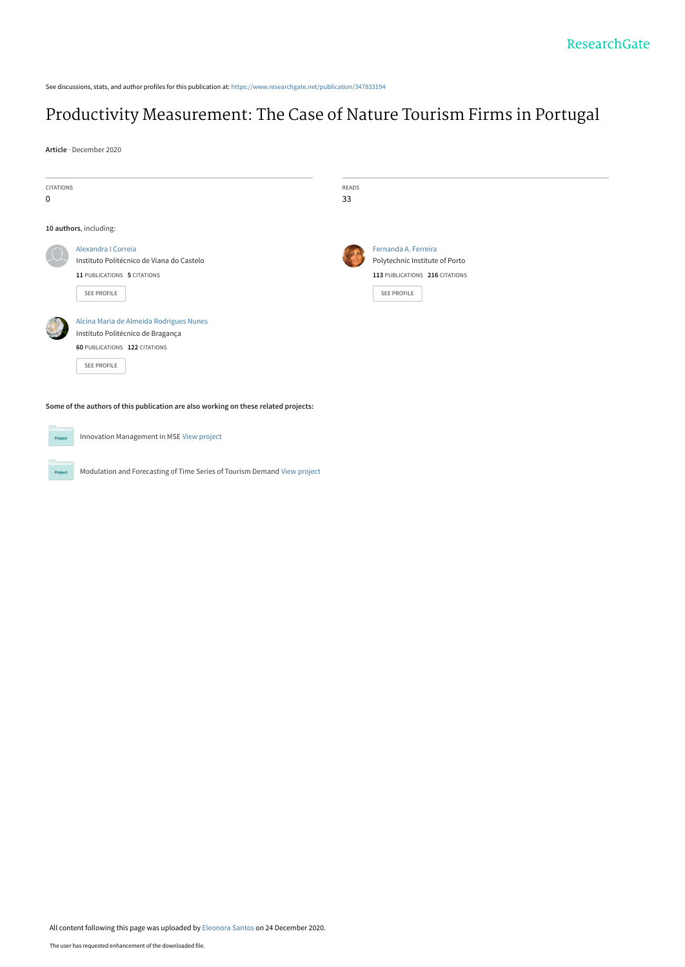See discussions, stats, and author profiles for this publication at: [https://www.researchgate.net/publication/347833194](https://www.researchgate.net/publication/347833194_Productivity_Measurement_The_Case_of_Nature_Tourism_Firms_in_Portugal?enrichId=rgreq-33e0bfed90c9740cc534c929b674663b-XXX&enrichSource=Y292ZXJQYWdlOzM0NzgzMzE5NDtBUzo5NzIxOTI4MDQyNzAwODJAMTYwODgwMDIzNTk2Mg%3D%3D&el=1_x_2&_esc=publicationCoverPdf)

# [Productivity Measurement: The Case of Nature Tourism Firms in Portugal](https://www.researchgate.net/publication/347833194_Productivity_Measurement_The_Case_of_Nature_Tourism_Firms_in_Portugal?enrichId=rgreq-33e0bfed90c9740cc534c929b674663b-XXX&enrichSource=Y292ZXJQYWdlOzM0NzgzMzE5NDtBUzo5NzIxOTI4MDQyNzAwODJAMTYwODgwMDIzNTk2Mg%3D%3D&el=1_x_3&_esc=publicationCoverPdf)

**Article** · December 2020

Project

Project

Innovation Management in MSE [View project](https://www.researchgate.net/project/Innovation-Management-in-MSE?enrichId=rgreq-33e0bfed90c9740cc534c929b674663b-XXX&enrichSource=Y292ZXJQYWdlOzM0NzgzMzE5NDtBUzo5NzIxOTI4MDQyNzAwODJAMTYwODgwMDIzNTk2Mg%3D%3D&el=1_x_9&_esc=publicationCoverPdf)

Modulation and Forecasting of Time Series of Tourism Demand [View project](https://www.researchgate.net/project/Modulation-and-Forecasting-of-Time-Series-of-Tourism-Demand?enrichId=rgreq-33e0bfed90c9740cc534c929b674663b-XXX&enrichSource=Y292ZXJQYWdlOzM0NzgzMzE5NDtBUzo5NzIxOTI4MDQyNzAwODJAMTYwODgwMDIzNTk2Mg%3D%3D&el=1_x_9&_esc=publicationCoverPdf)

| <b>CITATIONS</b><br>$\mathbf 0$            |                                                                                                                                                                                                                                                                     | READS<br>33 |                                                                                                                |  |
|--------------------------------------------|---------------------------------------------------------------------------------------------------------------------------------------------------------------------------------------------------------------------------------------------------------------------|-------------|----------------------------------------------------------------------------------------------------------------|--|
|                                            | 10 authors, including:                                                                                                                                                                                                                                              |             |                                                                                                                |  |
|                                            | Alexandra I Correia<br>Instituto Politécnico de Viana do Castelo<br>11 PUBLICATIONS 5 CITATIONS<br><b>SEE PROFILE</b><br>Alcina Maria de Almeida Rodrigues Nunes<br>Instituto Politécnico de Bragança<br><b>60 PUBLICATIONS 122 CITATIONS</b><br><b>SEE PROFILE</b> |             | Fernanda A. Ferreira<br>Polytechnic Institute of Porto<br>113 PUBLICATIONS 216 CITATIONS<br><b>SEE PROFILE</b> |  |
| <b>Contract Contract Contract Contract</b> | Some of the authors of this publication are also working on these related projects:                                                                                                                                                                                 |             |                                                                                                                |  |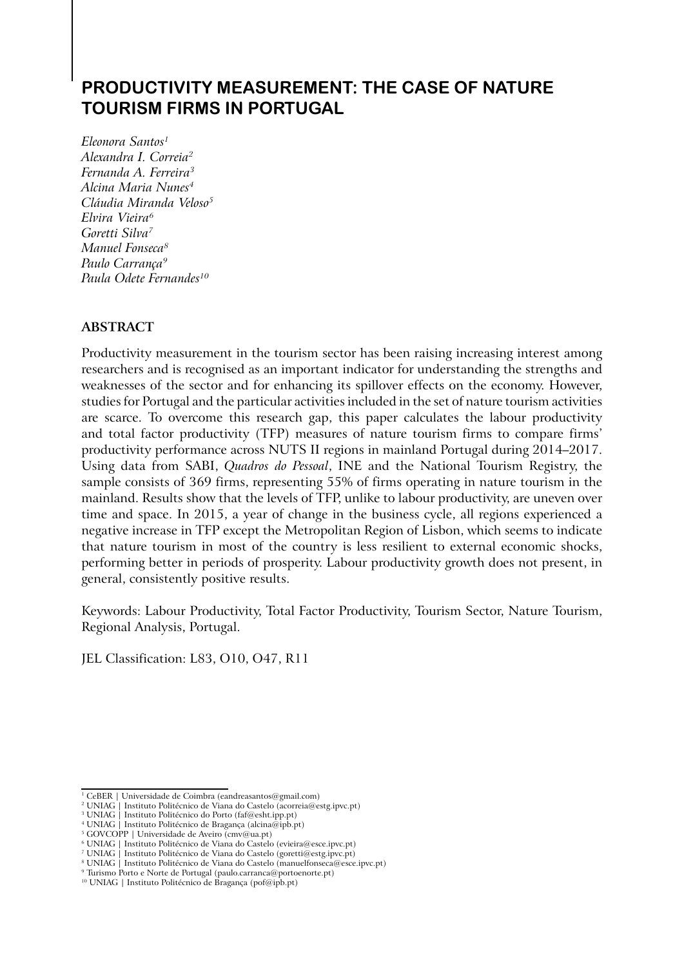## **PRODUCTIVITY MEASUREMENT: THE CASE OF NATURE TOURISM FIRMS IN PORTUGAL**

*Eleonora Santos1 Alexandra I. Correia2 Fernanda A. Ferreira3 Alcina Maria Nunes4 Cláudia Miranda Veloso5 Elvira Vieira6 Goretti Silva7 Manuel Fonseca8 Paulo Carrança9 Paula Odete Fernandes10*

## **ABSTRACT**

Productivity measurement in the tourism sector has been raising increasing interest among researchers and is recognised as an important indicator for understanding the strengths and weaknesses of the sector and for enhancing its spillover effects on the economy. However, studies for Portugal and the particular activities included in the set of nature tourism activities are scarce. To overcome this research gap, this paper calculates the labour productivity and total factor productivity (TFP) measures of nature tourism firms to compare firms' productivity performance across NUTS II regions in mainland Portugal during 2014–2017. Using data from SABI, *Quadros do Pessoal*, INE and the National Tourism Registry, the sample consists of 369 firms, representing 55% of firms operating in nature tourism in the mainland. Results show that the levels of TFP, unlike to labour productivity, are uneven over time and space. In 2015, a year of change in the business cycle, all regions experienced a negative increase in TFP except the Metropolitan Region of Lisbon, which seems to indicate that nature tourism in most of the country is less resilient to external economic shocks, performing better in periods of prosperity. Labour productivity growth does not present, in general, consistently positive results.

Keywords: Labour Productivity, Total Factor Productivity, Tourism Sector, Nature Tourism, Regional Analysis, Portugal.

JEL Classification: L83, O10, O47, R11

<sup>1</sup> CeBER | Universidade de Coimbra (eandreasantos@gmail.com)

<sup>2</sup> UNIAG | Instituto Politécnico de Viana do Castelo (acorreia@estg.ipvc.pt)

<sup>3</sup> UNIAG | Instituto Politécnico do Porto (faf@esht.ipp.pt)

<sup>4</sup> UNIAG | Instituto Politécnico de Bragança (alcina@ipb.pt)

<sup>&</sup>lt;sup>5</sup> GOVCOPP | Universidade de Aveiro (cmv@ua.pt)

<sup>6</sup> UNIAG | Instituto Politécnico de Viana do Castelo (evieira@esce.ipvc.pt)

<sup>7</sup> UNIAG | Instituto Politécnico de Viana do Castelo (goretti@estg.ipvc.pt)

<sup>&</sup>lt;sup>8</sup> UNIAG | Instituto Politécnico de Viana do Castelo (manuelfonseca@esce.ipvc.pt) 9 Turismo Porto e Norte de Portugal (paulo.carranca@portoenorte.pt)

<sup>10</sup> UNIAG | Instituto Politécnico de Bragança (pof@ipb.pt)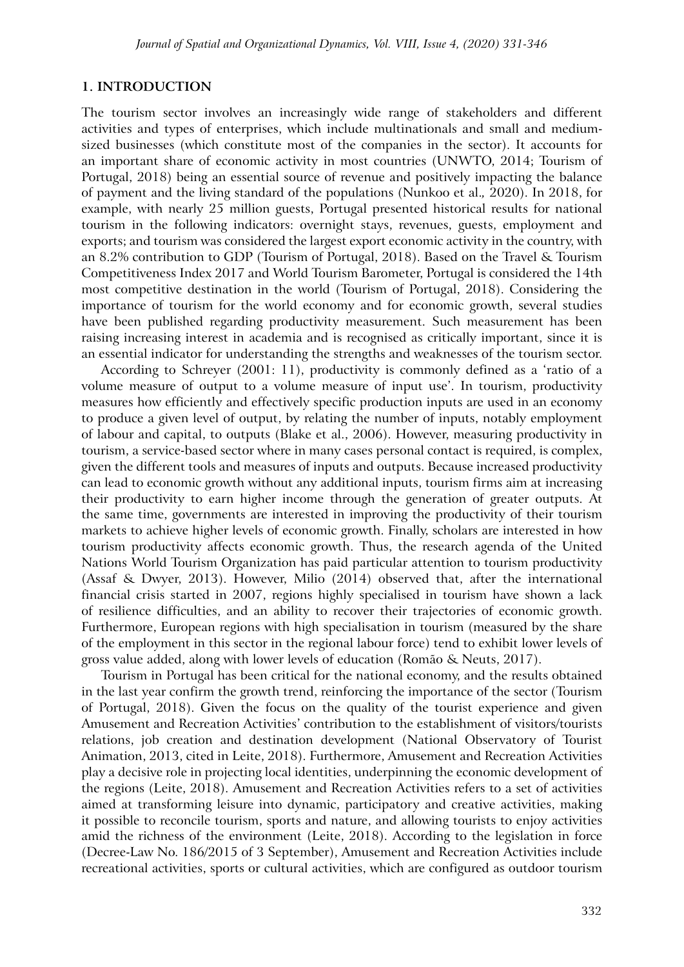#### **1. INTRODUCTION**

The tourism sector involves an increasingly wide range of stakeholders and different activities and types of enterprises, which include multinationals and small and mediumsized businesses (which constitute most of the companies in the sector). It accounts for an important share of economic activity in most countries (UNWTO, 2014; Tourism of Portugal, 2018) being an essential source of revenue and positively impacting the balance of payment and the living standard of the populations (Nunkoo et al.*,* 2020). In 2018, for example, with nearly 25 million guests, Portugal presented historical results for national tourism in the following indicators: overnight stays, revenues, guests, employment and exports; and tourism was considered the largest export economic activity in the country, with an 8.2% contribution to GDP (Tourism of Portugal, 2018). Based on the Travel & Tourism Competitiveness Index 2017 and World Tourism Barometer, Portugal is considered the 14th most competitive destination in the world (Tourism of Portugal, 2018). Considering the importance of tourism for the world economy and for economic growth, several studies have been published regarding productivity measurement. Such measurement has been raising increasing interest in academia and is recognised as critically important, since it is an essential indicator for understanding the strengths and weaknesses of the tourism sector.

According to Schreyer (2001: 11), productivity is commonly defined as a 'ratio of a volume measure of output to a volume measure of input use'. In tourism, productivity measures how efficiently and effectively specific production inputs are used in an economy to produce a given level of output, by relating the number of inputs, notably employment of labour and capital, to outputs (Blake et al., 2006). However, measuring productivity in tourism, a service-based sector where in many cases personal contact is required, is complex, given the different tools and measures of inputs and outputs. Because increased productivity can lead to economic growth without any additional inputs, tourism firms aim at increasing their productivity to earn higher income through the generation of greater outputs. At the same time, governments are interested in improving the productivity of their tourism markets to achieve higher levels of economic growth. Finally, scholars are interested in how tourism productivity affects economic growth. Thus, the research agenda of the United Nations World Tourism Organization has paid particular attention to tourism productivity (Assaf & Dwyer, 2013). However, Milio (2014) observed that, after the international financial crisis started in 2007, regions highly specialised in tourism have shown a lack of resilience difficulties, and an ability to recover their trajectories of economic growth. Furthermore, European regions with high specialisation in tourism (measured by the share of the employment in this sector in the regional labour force) tend to exhibit lower levels of gross value added, along with lower levels of education (Romão & Neuts, 2017).

Tourism in Portugal has been critical for the national economy, and the results obtained in the last year confirm the growth trend, reinforcing the importance of the sector (Tourism of Portugal, 2018). Given the focus on the quality of the tourist experience and given Amusement and Recreation Activities' contribution to the establishment of visitors/tourists relations, job creation and destination development (National Observatory of Tourist Animation, 2013, cited in Leite, 2018). Furthermore, Amusement and Recreation Activities play a decisive role in projecting local identities, underpinning the economic development of the regions (Leite, 2018). Amusement and Recreation Activities refers to a set of activities aimed at transforming leisure into dynamic, participatory and creative activities, making it possible to reconcile tourism, sports and nature, and allowing tourists to enjoy activities amid the richness of the environment (Leite, 2018). According to the legislation in force (Decree-Law No. 186/2015 of 3 September), Amusement and Recreation Activities include recreational activities, sports or cultural activities, which are configured as outdoor tourism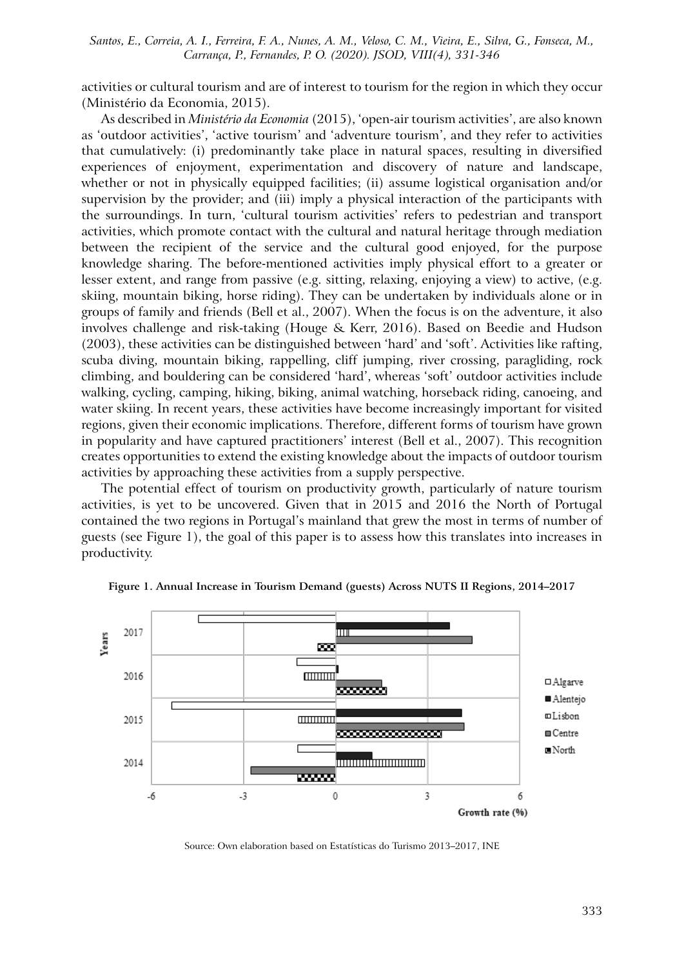activities or cultural tourism and are of interest to tourism for the region in which they occur (Ministério da Economia, 2015).

As described in *Ministério da Economia* (2015), 'open-air tourism activities', are also known as 'outdoor activities', 'active tourism' and 'adventure tourism', and they refer to activities that cumulatively: (i) predominantly take place in natural spaces, resulting in diversified experiences of enjoyment, experimentation and discovery of nature and landscape, whether or not in physically equipped facilities; (ii) assume logistical organisation and/or supervision by the provider; and (iii) imply a physical interaction of the participants with the surroundings. In turn, 'cultural tourism activities' refers to pedestrian and transport activities, which promote contact with the cultural and natural heritage through mediation between the recipient of the service and the cultural good enjoyed, for the purpose knowledge sharing. The before-mentioned activities imply physical effort to a greater or lesser extent, and range from passive (e.g. sitting, relaxing, enjoying a view) to active, (e.g. skiing, mountain biking, horse riding). They can be undertaken by individuals alone or in groups of family and friends (Bell et al., 2007). When the focus is on the adventure, it also involves challenge and risk-taking (Houge & Kerr, 2016). Based on Beedie and Hudson (2003), these activities can be distinguished between 'hard' and 'soft'. Activities like rafting, scuba diving, mountain biking, rappelling, cliff jumping, river crossing, paragliding, rock climbing, and bouldering can be considered 'hard', whereas 'soft' outdoor activities include walking, cycling, camping, hiking, biking, animal watching, horseback riding, canoeing, and water skiing. In recent years, these activities have become increasingly important for visited regions, given their economic implications. Therefore, different forms of tourism have grown in popularity and have captured practitioners' interest (Bell et al., 2007). This recognition creates opportunities to extend the existing knowledge about the impacts of outdoor tourism activities by approaching these activities from a supply perspective.

The potential effect of tourism on productivity growth, particularly of nature tourism activities, is yet to be uncovered. Given that in 2015 and 2016 the North of Portugal contained the two regions in Portugal's mainland that grew the most in terms of number of guests (see Figure 1), the goal of this paper is to assess how this translates into increases in productivity.



**Figure 1. Annual Increase in Tourism Demand (guests) Across NUTS II Regions, 2014–2017**

Source: Own elaboration based on Estatísticas do Turismo 2013–2017, INE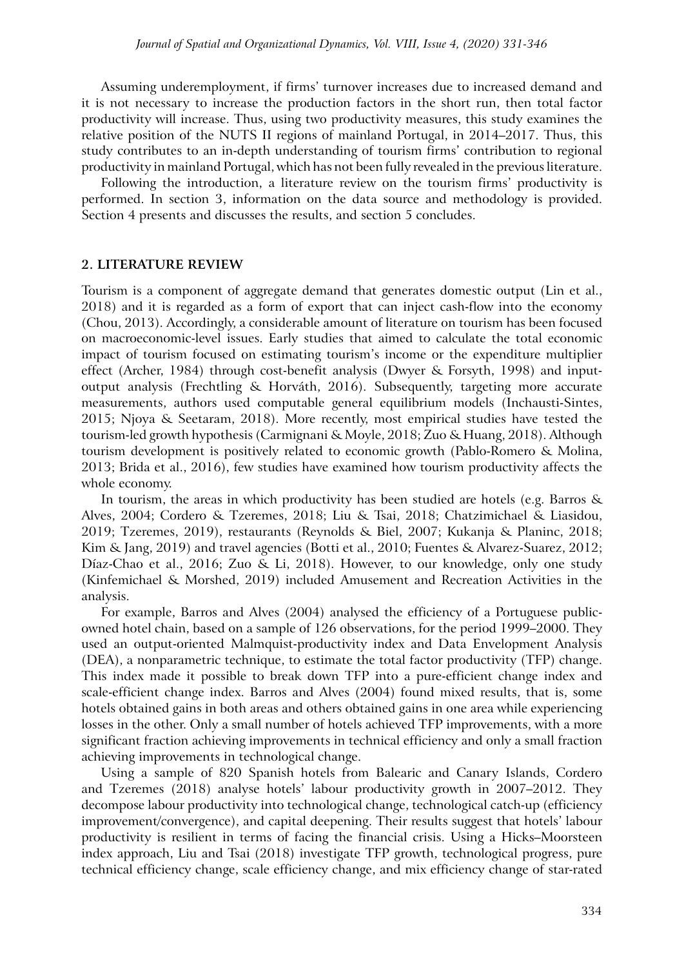Assuming underemployment, if firms' turnover increases due to increased demand and it is not necessary to increase the production factors in the short run, then total factor productivity will increase. Thus, using two productivity measures, this study examines the relative position of the NUTS II regions of mainland Portugal, in 2014–2017. Thus, this study contributes to an in-depth understanding of tourism firms' contribution to regional productivity in mainland Portugal, which has not been fully revealed in the previous literature.

Following the introduction, a literature review on the tourism firms' productivity is performed. In section 3, information on the data source and methodology is provided. Section 4 presents and discusses the results, and section 5 concludes.

#### **2. LITERATURE REVIEW**

Tourism is a component of aggregate demand that generates domestic output (Lin et al., 2018) and it is regarded as a form of export that can inject cash-flow into the economy (Chou, 2013). Accordingly, a considerable amount of literature on tourism has been focused on macroeconomic-level issues. Early studies that aimed to calculate the total economic impact of tourism focused on estimating tourism's income or the expenditure multiplier effect (Archer, 1984) through cost-benefit analysis (Dwyer & Forsyth, 1998) and inputoutput analysis (Frechtling & Horváth, 2016). Subsequently, targeting more accurate measurements, authors used computable general equilibrium models (Inchausti-Sintes, 2015; Njoya & Seetaram, 2018). More recently, most empirical studies have tested the tourism-led growth hypothesis (Carmignani & Moyle, 2018; Zuo & Huang, 2018). Although tourism development is positively related to economic growth (Pablo-Romero & Molina, 2013; Brida et al., 2016), few studies have examined how tourism productivity affects the whole economy.

In tourism, the areas in which productivity has been studied are hotels (e.g. Barros & Alves, 2004; Cordero & Tzeremes, 2018; Liu & Tsai, 2018; Chatzimichael & Liasidou, 2019; Tzeremes, 2019), restaurants (Reynolds & Biel, 2007; Kukanja & Planinc, 2018; Kim & Jang, 2019) and travel agencies (Botti et al., 2010; Fuentes & Alvarez-Suarez, 2012; Díaz-Chao et al., 2016; Zuo & Li, 2018). However, to our knowledge, only one study (Kinfemichael & Morshed, 2019) included Amusement and Recreation Activities in the analysis.

For example, Barros and Alves (2004) analysed the efficiency of a Portuguese publicowned hotel chain, based on a sample of 126 observations, for the period 1999–2000. They used an output-oriented Malmquist-productivity index and Data Envelopment Analysis (DEA), a nonparametric technique, to estimate the total factor productivity (TFP) change. This index made it possible to break down TFP into a pure-efficient change index and scale-efficient change index. Barros and Alves (2004) found mixed results, that is, some hotels obtained gains in both areas and others obtained gains in one area while experiencing losses in the other. Only a small number of hotels achieved TFP improvements, with a more significant fraction achieving improvements in technical efficiency and only a small fraction achieving improvements in technological change.

Using a sample of 820 Spanish hotels from Balearic and Canary Islands, Cordero and Tzeremes (2018) analyse hotels' labour productivity growth in 2007–2012. They decompose labour productivity into technological change, technological catch-up (efficiency improvement/convergence), and capital deepening. Their results suggest that hotels' labour productivity is resilient in terms of facing the financial crisis. Using a Hicks–Moorsteen index approach, Liu and Tsai (2018) investigate TFP growth, technological progress, pure technical efficiency change, scale efficiency change, and mix efficiency change of star-rated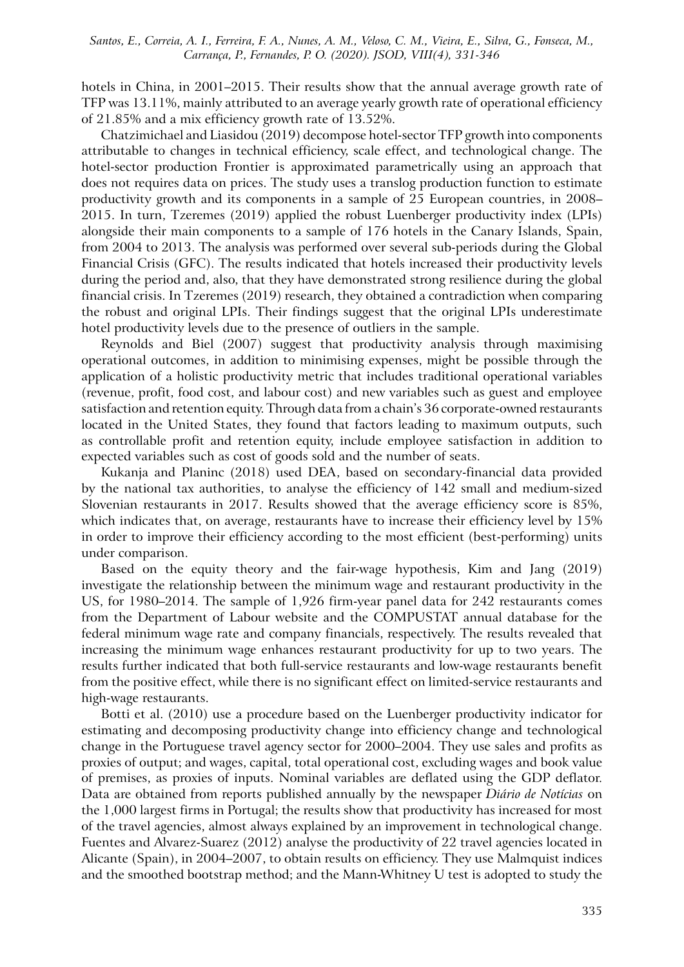hotels in China, in 2001–2015. Their results show that the annual average growth rate of TFP was 13.11%, mainly attributed to an average yearly growth rate of operational efficiency of 21.85% and a mix efficiency growth rate of 13.52%.

Chatzimichael and Liasidou (2019) decompose hotel-sector TFP growth into components attributable to changes in technical efficiency, scale effect, and technological change. The hotel-sector production Frontier is approximated parametrically using an approach that does not requires data on prices. The study uses a translog production function to estimate productivity growth and its components in a sample of 25 European countries, in 2008– 2015. In turn, Tzeremes (2019) applied the robust Luenberger productivity index (LPIs) alongside their main components to a sample of 176 hotels in the Canary Islands, Spain, from 2004 to 2013. The analysis was performed over several sub-periods during the Global Financial Crisis (GFC). The results indicated that hotels increased their productivity levels during the period and, also, that they have demonstrated strong resilience during the global financial crisis. In Tzeremes (2019) research, they obtained a contradiction when comparing the robust and original LPIs. Their findings suggest that the original LPIs underestimate hotel productivity levels due to the presence of outliers in the sample.

Reynolds and Biel (2007) suggest that productivity analysis through maximising operational outcomes, in addition to minimising expenses, might be possible through the application of a holistic productivity metric that includes traditional operational variables (revenue, profit, food cost, and labour cost) and new variables such as guest and employee satisfaction and retention equity. Through data from a chain's 36 corporate-owned restaurants located in the United States, they found that factors leading to maximum outputs, such as controllable profit and retention equity, include employee satisfaction in addition to expected variables such as cost of goods sold and the number of seats.

Kukanja and Planinc (2018) used DEA, based on secondary-financial data provided by the national tax authorities, to analyse the efficiency of 142 small and medium-sized Slovenian restaurants in 2017. Results showed that the average efficiency score is 85%, which indicates that, on average, restaurants have to increase their efficiency level by 15% in order to improve their efficiency according to the most efficient (best-performing) units under comparison.

Based on the equity theory and the fair-wage hypothesis, Kim and Jang (2019) investigate the relationship between the minimum wage and restaurant productivity in the US, for 1980–2014. The sample of 1,926 firm-year panel data for 242 restaurants comes from the Department of Labour website and the COMPUSTAT annual database for the federal minimum wage rate and company financials, respectively. The results revealed that increasing the minimum wage enhances restaurant productivity for up to two years. The results further indicated that both full-service restaurants and low-wage restaurants benefit from the positive effect, while there is no significant effect on limited-service restaurants and high-wage restaurants.

Botti et al. (2010) use a procedure based on the Luenberger productivity indicator for estimating and decomposing productivity change into efficiency change and technological change in the Portuguese travel agency sector for 2000–2004. They use sales and profits as proxies of output; and wages, capital, total operational cost, excluding wages and book value of premises, as proxies of inputs. Nominal variables are deflated using the GDP deflator. Data are obtained from reports published annually by the newspaper *Diário de Notícias* on the 1,000 largest firms in Portugal; the results show that productivity has increased for most of the travel agencies, almost always explained by an improvement in technological change. Fuentes and Alvarez-Suarez (2012) analyse the productivity of 22 travel agencies located in Alicante (Spain), in 2004–2007, to obtain results on efficiency. They use Malmquist indices and the smoothed bootstrap method; and the Mann-Whitney U test is adopted to study the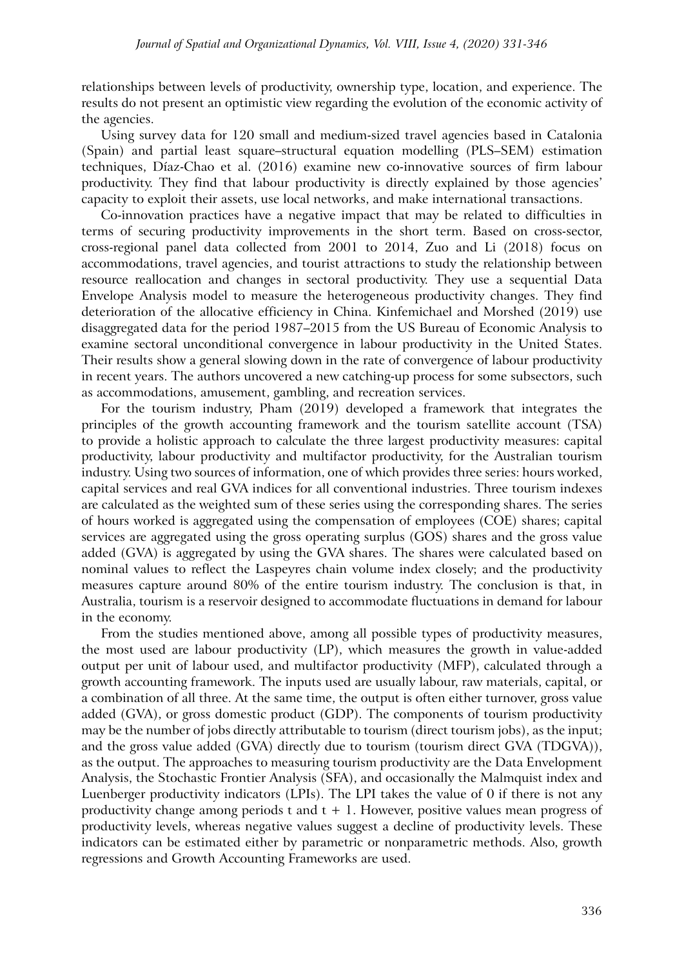relationships between levels of productivity, ownership type, location, and experience. The results do not present an optimistic view regarding the evolution of the economic activity of the agencies.

Using survey data for 120 small and medium-sized travel agencies based in Catalonia (Spain) and partial least square–structural equation modelling (PLS–SEM) estimation techniques, Díaz-Chao et al. (2016) examine new co-innovative sources of firm labour productivity. They find that labour productivity is directly explained by those agencies' capacity to exploit their assets, use local networks, and make international transactions.

Co-innovation practices have a negative impact that may be related to difficulties in terms of securing productivity improvements in the short term. Based on cross-sector, cross-regional panel data collected from 2001 to 2014, Zuo and Li (2018) focus on accommodations, travel agencies, and tourist attractions to study the relationship between resource reallocation and changes in sectoral productivity. They use a sequential Data Envelope Analysis model to measure the heterogeneous productivity changes. They find deterioration of the allocative efficiency in China. Kinfemichael and Morshed (2019) use disaggregated data for the period 1987–2015 from the US Bureau of Economic Analysis to examine sectoral unconditional convergence in labour productivity in the United States. Their results show a general slowing down in the rate of convergence of labour productivity in recent years. The authors uncovered a new catching-up process for some subsectors, such as accommodations, amusement, gambling, and recreation services.

For the tourism industry, Pham (2019) developed a framework that integrates the principles of the growth accounting framework and the tourism satellite account (TSA) to provide a holistic approach to calculate the three largest productivity measures: capital productivity, labour productivity and multifactor productivity, for the Australian tourism industry. Using two sources of information, one of which provides three series: hours worked, capital services and real GVA indices for all conventional industries. Three tourism indexes are calculated as the weighted sum of these series using the corresponding shares. The series of hours worked is aggregated using the compensation of employees (COE) shares; capital services are aggregated using the gross operating surplus (GOS) shares and the gross value added (GVA) is aggregated by using the GVA shares. The shares were calculated based on nominal values to reflect the Laspeyres chain volume index closely; and the productivity measures capture around 80% of the entire tourism industry. The conclusion is that, in Australia, tourism is a reservoir designed to accommodate fluctuations in demand for labour in the economy.

From the studies mentioned above, among all possible types of productivity measures, the most used are labour productivity (LP), which measures the growth in value-added output per unit of labour used, and multifactor productivity (MFP), calculated through a growth accounting framework. The inputs used are usually labour, raw materials, capital, or a combination of all three. At the same time, the output is often either turnover, gross value added (GVA), or gross domestic product (GDP). The components of tourism productivity may be the number of jobs directly attributable to tourism (direct tourism jobs), as the input; and the gross value added (GVA) directly due to tourism (tourism direct GVA (TDGVA)), as the output. The approaches to measuring tourism productivity are the Data Envelopment Analysis, the Stochastic Frontier Analysis (SFA), and occasionally the Malmquist index and Luenberger productivity indicators (LPIs). The LPI takes the value of 0 if there is not any productivity change among periods t and  $t + 1$ . However, positive values mean progress of productivity levels, whereas negative values suggest a decline of productivity levels. These indicators can be estimated either by parametric or nonparametric methods. Also, growth regressions and Growth Accounting Frameworks are used.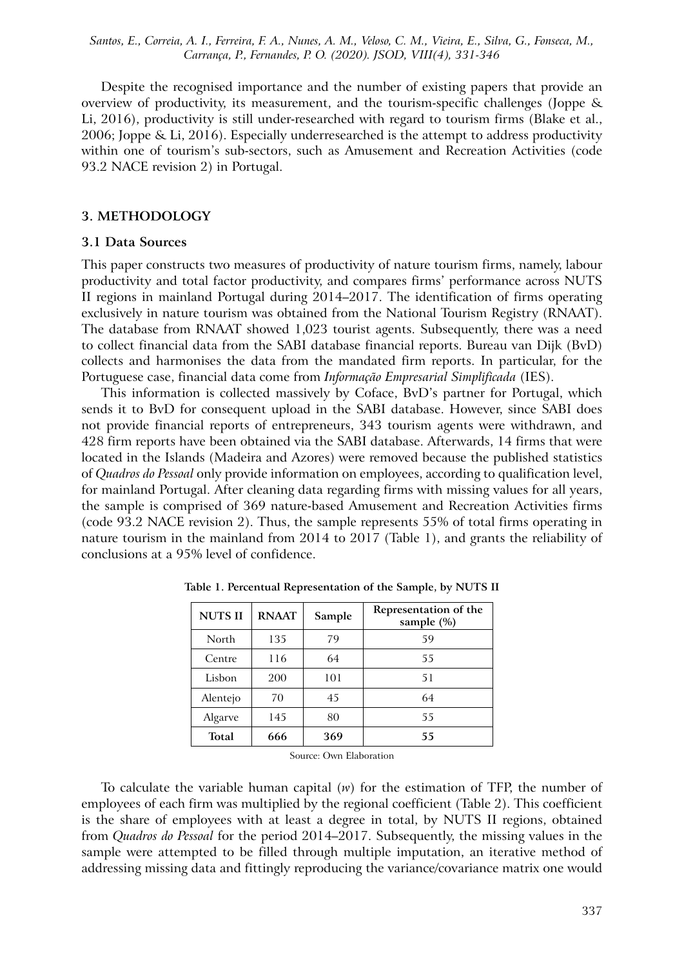Despite the recognised importance and the number of existing papers that provide an overview of productivity, its measurement, and the tourism-specific challenges (Joppe & Li, 2016), productivity is still under-researched with regard to tourism firms (Blake et al., 2006; Joppe & Li, 2016). Especially underresearched is the attempt to address productivity within one of tourism's sub-sectors, such as Amusement and Recreation Activities (code 93.2 NACE revision 2) in Portugal.

#### **3. METHODOLOGY**

#### **3.1 Data Sources**

This paper constructs two measures of productivity of nature tourism firms, namely, labour productivity and total factor productivity, and compares firms' performance across NUTS II regions in mainland Portugal during 2014–2017. The identification of firms operating exclusively in nature tourism was obtained from the National Tourism Registry (RNAAT). The database from RNAAT showed 1,023 tourist agents. Subsequently, there was a need to collect financial data from the SABI database financial reports. Bureau van Dijk (BvD) collects and harmonises the data from the mandated firm reports. In particular, for the Portuguese case, financial data come from *Informação Empresarial Simplificada* (IES).

This information is collected massively by Coface, BvD's partner for Portugal, which sends it to BvD for consequent upload in the SABI database. However, since SABI does not provide financial reports of entrepreneurs, 343 tourism agents were withdrawn, and 428 firm reports have been obtained via the SABI database. Afterwards, 14 firms that were located in the Islands (Madeira and Azores) were removed because the published statistics of *Quadros do Pessoal* only provide information on employees, according to qualification level, for mainland Portugal. After cleaning data regarding firms with missing values for all years, the sample is comprised of 369 nature-based Amusement and Recreation Activities firms (code 93.2 NACE revision 2). Thus, the sample represents 55% of total firms operating in nature tourism in the mainland from 2014 to 2017 (Table 1), and grants the reliability of conclusions at a 95% level of confidence.

| <b>NUTSII</b> | <b>RNAAT</b> | Sample | Representation of the<br>sample (%) |  |
|---------------|--------------|--------|-------------------------------------|--|
| North         | 135          | 79     | 59                                  |  |
| Centre        | 116          | 64     | 55                                  |  |
| Lisbon        | 200          | 101    | 51                                  |  |
| Alentejo      | 70           | 45     | 64                                  |  |
| Algarve       | 145          | 80     | 55                                  |  |
| Total         | 666          | 369    | 55                                  |  |

**Table 1. Percentual Representation of the Sample, by NUTS II**

Source: Own Elaboration

To calculate the variable human capital (*w*) for the estimation of TFP, the number of employees of each firm was multiplied by the regional coefficient (Table 2). This coefficient is the share of employees with at least a degree in total, by NUTS II regions, obtained from *Quadros do Pessoal* for the period 2014–2017. Subsequently, the missing values in the sample were attempted to be filled through multiple imputation, an iterative method of addressing missing data and fittingly reproducing the variance/covariance matrix one would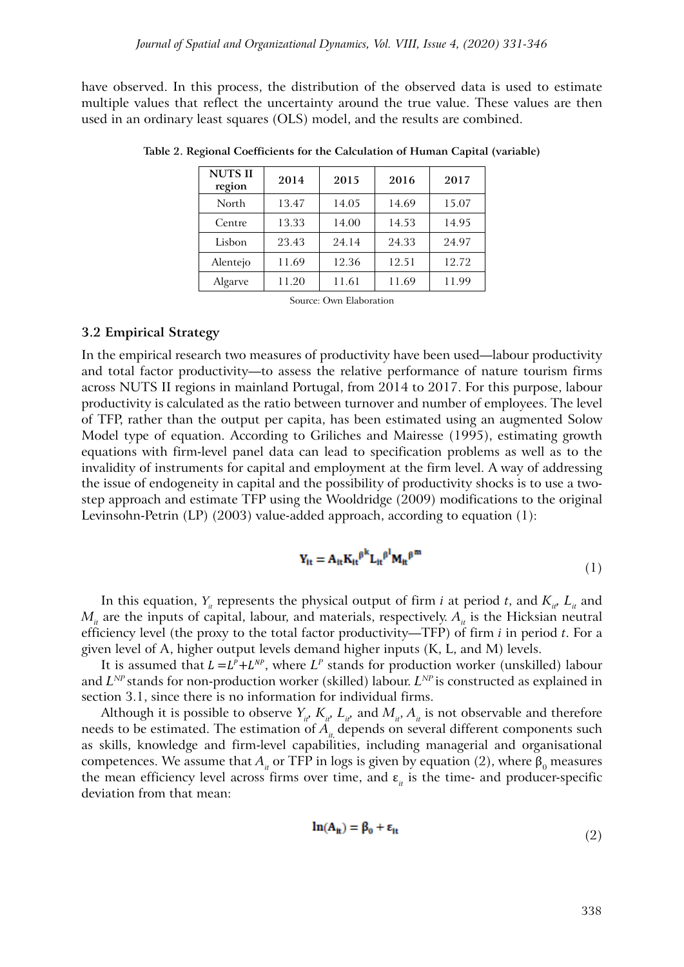have observed. In this process, the distribution of the observed data is used to estimate multiple values that reflect the uncertainty around the true value. These values are then used in an ordinary least squares (OLS) model, and the results are combined.

| <b>NUTSII</b><br>region | 2014  | 2015  | 2016  | 2017  |
|-------------------------|-------|-------|-------|-------|
| North                   | 13.47 | 14.05 | 14.69 | 15.07 |
| Centre                  | 13.33 | 14.00 | 14.53 | 14.95 |
| Lisbon                  | 23.43 | 24.14 | 24.33 | 24.97 |
| Alentejo                | 11.69 | 12.36 | 12.51 | 12.72 |
| Algarve                 | 11.20 | 11.61 | 11.69 | 11.99 |

**Table 2. Regional Coefficients for the Calculation of Human Capital (variable)**

Source: Own Elaboration

#### **3.2 Empirical Strategy**

In the empirical research two measures of productivity have been used—labour productivity and total factor productivity—to assess the relative performance of nature tourism firms across NUTS II regions in mainland Portugal, from 2014 to 2017. For this purpose, labour productivity is calculated as the ratio between turnover and number of employees. The level of TFP, rather than the output per capita, has been estimated using an augmented Solow Model type of equation. According to Griliches and Mairesse (1995), estimating growth equations with firm-level panel data can lead to specification problems as well as to the invalidity of instruments for capital and employment at the firm level. A way of addressing the issue of endogeneity in capital and the possibility of productivity shocks is to use a twostep approach and estimate TFP using the Wooldridge (2009) modifications to the original Levinsohn-Petrin (LP) (2003) value-added approach, according to equation (1):

$$
Y_{it} = A_{it} K_{it}^{\beta^{k}} L_{it}^{\beta^{l}} M_{it}^{\beta^{m}}
$$
\n(1)

In this equation,  $Y_i$  represents the physical output of firm *i* at period *t*, and  $K_i$ ,  $L_i$  and  $M_{\mu}$  are the inputs of capital, labour, and materials, respectively.  $A_{\mu}$  is the Hicksian neutral efficiency level (the proxy to the total factor productivity—TFP) of firm *i* in period *t*. For a given level of A, higher output levels demand higher inputs (K, L, and M) levels.

It is assumed that  $L = L^p + L^{NP}$ , where  $L^p$  stands for production worker (unskilled) labour and  $L^{NP}$  stands for non-production worker (skilled) labour.  $L^{NP}$  is constructed as explained in section 3.1, since there is no information for individual firms.

Although it is possible to observe  $Y_{ii}$ ,  $K_{ii}$ ,  $L_{ii}$ , and  $M_{ii}$ ,  $A_{ii}$  is not observable and therefore needs to be estimated. The estimation of  $A<sub>i</sub>$ , depends on several different components such as skills, knowledge and firm-level capabilities, including managerial and organisational competences. We assume that  $A_i$  or TFP in logs is given by equation (2), where  $\beta_0$  measures the mean efficiency level across firms over time, and  $\varepsilon$ <sub>it</sub> is the time- and producer-specific deviation from that mean:

$$
\ln(A_{it}) = \beta_0 + \varepsilon_{it} \tag{2}
$$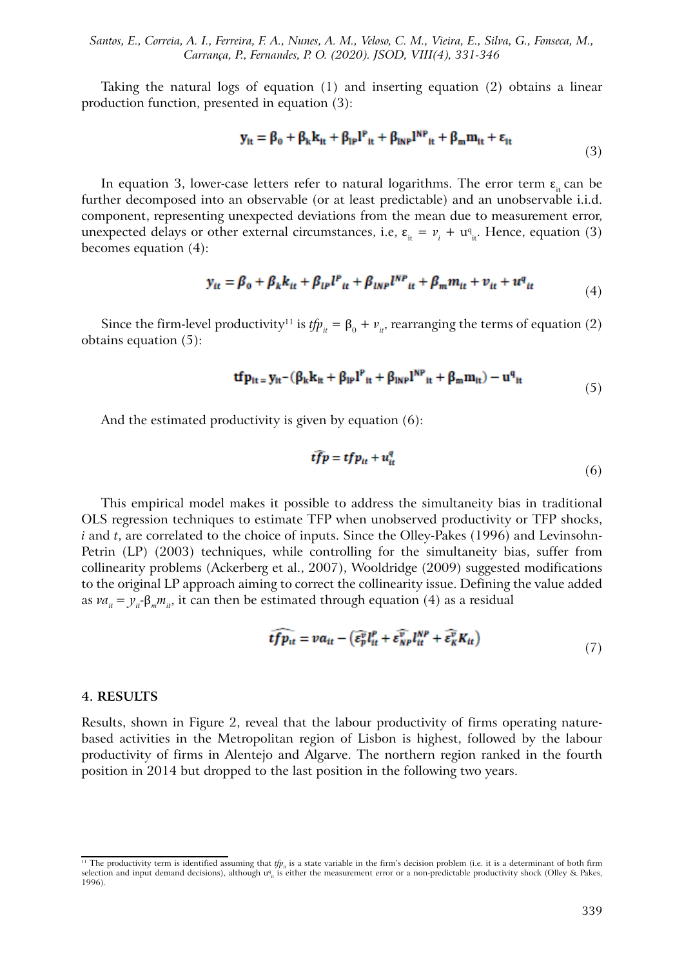Taking the natural logs of equation (1) and inserting equation (2) obtains a linear production function, presented in equation (3):

$$
\mathbf{y}_{it} = \beta_0 + \beta_k \mathbf{k}_{it} + \beta_{lp} \mathbf{l}^p_{it} + \beta_{lh} \mathbf{n}^{\mathbf{NP}}_{it} + \beta_m \mathbf{m}_{it} + \varepsilon_{it}
$$
(3)

In equation 3, lower-case letters refer to natural logarithms. The error term  $\varepsilon$ <sub>it</sub> can be further decomposed into an observable (or at least predictable) and an unobservable i.i.d. component, representing unexpected deviations from the mean due to measurement error, unexpected delays or other external circumstances, i.e,  $\varepsilon_{\text{it}} = v_i + u_{\text{it}}^q$ . Hence, equation (3) becomes equation (4):

$$
y_{it} = \beta_0 + \beta_k k_{it} + \beta_{lp} l^p{}_{it} + \beta_{lnp} l^{NP}{}_{it} + \beta_m m_{it} + v_{it} + u^q{}_{it}
$$
 (4)

Since the firm-level productivity<sup>11</sup> is  $t f p_{it} = \beta_0 + v_{it}$ , rearranging the terms of equation (2) obtains equation (5):

$$
\mathbf{tfp}_{it} = \mathbf{y}_{it} - (\beta_k \mathbf{k}_{it} + \beta_{lP} \mathbf{l}^P_{it} + \beta_{lNP} \mathbf{l}^{NP}_{it} + \beta_m \mathbf{m}_{it}) - \mathbf{u}^q_{it} \tag{5}
$$

And the estimated productivity is given by equation (6):

$$
\vec{tfp} = tfp_{tt} + u_{tt}^q \tag{6}
$$

This empirical model makes it possible to address the simultaneity bias in traditional OLS regression techniques to estimate TFP when unobserved productivity or TFP shocks, *i* and *t*, are correlated to the choice of inputs. Since the Olley-Pakes (1996) and Levinsohn-Petrin (LP) (2003) techniques, while controlling for the simultaneity bias, suffer from collinearity problems (Ackerberg et al., 2007), Wooldridge (2009) suggested modifications to the original LP approach aiming to correct the collinearity issue. Defining the value added as  $va_{it} = y_{it}$ - $\beta_m m_{it}$ , it can then be estimated through equation (4) as a residual

$$
\widehat{tfp}_{tt} = va_{tt} - \left(\widehat{\epsilon_p^v} l_{tt}^P + \widehat{\epsilon_{NP}^v} l_{tt}^{NP} + \widehat{\epsilon_R^v} K_{tt}\right) \tag{7}
$$

#### **4. RESULTS**

Results, shown in Figure 2, reveal that the labour productivity of firms operating naturebased activities in the Metropolitan region of Lisbon is highest, followed by the labour productivity of firms in Alentejo and Algarve. The northern region ranked in the fourth position in 2014 but dropped to the last position in the following two years.

<sup>&</sup>lt;sup>11</sup> The productivity term is identified assuming that *tfp<sub>in</sub>* is a state variable in the firm's decision problem (i.e. it is a determinant of both firm selection and input demand decisions), although u<sup>q</sup><sub>it</sub> is either the measurement error or a non-predictable productivity shock (Olley & Pakes, 1996).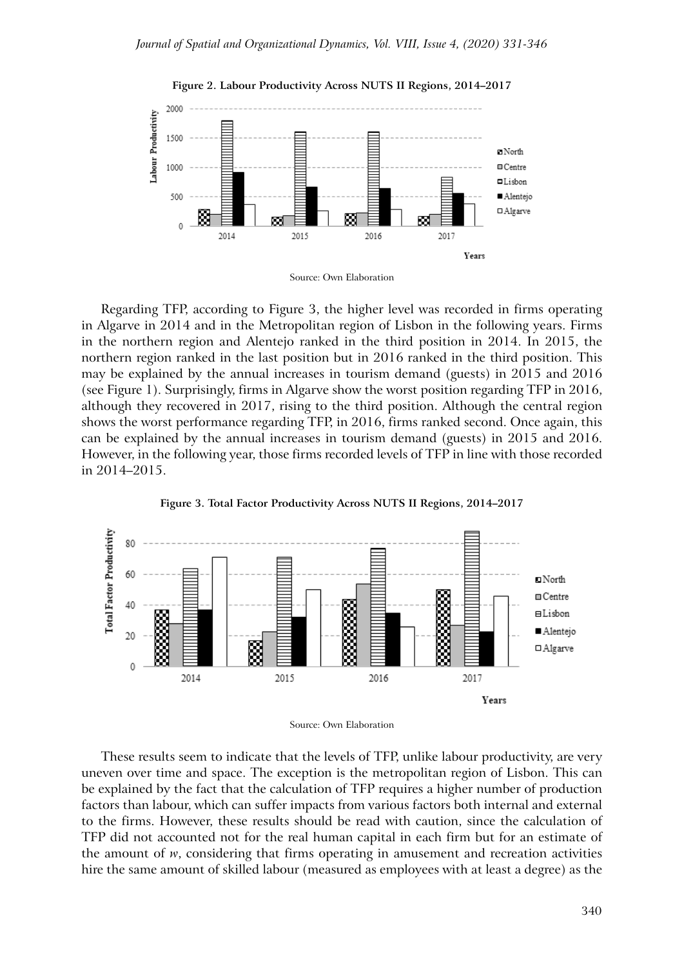



Regarding TFP, according to Figure 3, the higher level was recorded in firms operating in Algarve in 2014 and in the Metropolitan region of Lisbon in the following years. Firms in the northern region and Alentejo ranked in the third position in 2014. In 2015, the northern region ranked in the last position but in 2016 ranked in the third position. This may be explained by the annual increases in tourism demand (guests) in 2015 and 2016 (see Figure 1). Surprisingly, firms in Algarve show the worst position regarding TFP in 2016, although they recovered in 2017, rising to the third position. Although the central region shows the worst performance regarding TFP, in 2016, firms ranked second. Once again, this can be explained by the annual increases in tourism demand (guests) in 2015 and 2016. However, in the following year, those firms recorded levels of TFP in line with those recorded in 2014–2015.





These results seem to indicate that the levels of TFP, unlike labour productivity, are very uneven over time and space. The exception is the metropolitan region of Lisbon. This can be explained by the fact that the calculation of TFP requires a higher number of production factors than labour, which can suffer impacts from various factors both internal and external to the firms. However, these results should be read with caution, since the calculation of TFP did not accounted not for the real human capital in each firm but for an estimate of the amount of *w*, considering that firms operating in amusement and recreation activities hire the same amount of skilled labour (measured as employees with at least a degree) as the

Source: Own Elaboration

Source: Own Elaboration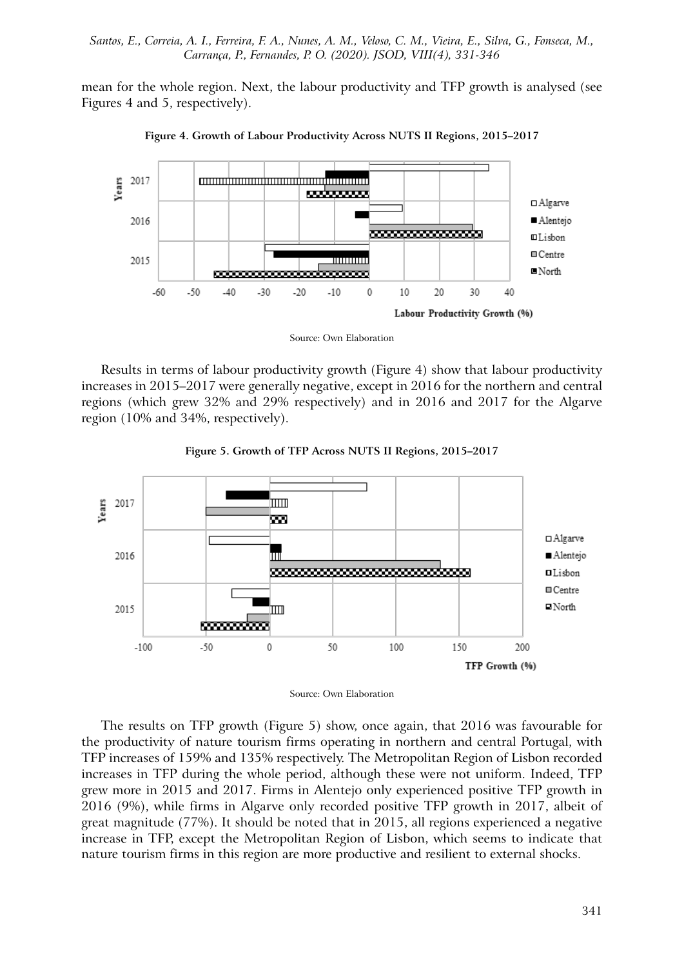mean for the whole region. Next, the labour productivity and TFP growth is analysed (see Figures 4 and 5, respectively).



**Figure 4. Growth of Labour Productivity Across NUTS II Regions, 2015–2017**

Source: Own Elaboration

Results in terms of labour productivity growth (Figure 4) show that labour productivity increases in 2015–2017 were generally negative, except in 2016 for the northern and central regions (which grew 32% and 29% respectively) and in 2016 and 2017 for the Algarve region (10% and 34%, respectively).



**Figure 5. Growth of TFP Across NUTS II Regions, 2015–2017**

Source: Own Elaboration

The results on TFP growth (Figure 5) show, once again, that 2016 was favourable for the productivity of nature tourism firms operating in northern and central Portugal, with TFP increases of 159% and 135% respectively. The Metropolitan Region of Lisbon recorded increases in TFP during the whole period, although these were not uniform. Indeed, TFP grew more in 2015 and 2017. Firms in Alentejo only experienced positive TFP growth in 2016 (9%), while firms in Algarve only recorded positive TFP growth in 2017, albeit of great magnitude (77%). It should be noted that in 2015, all regions experienced a negative increase in TFP, except the Metropolitan Region of Lisbon, which seems to indicate that nature tourism firms in this region are more productive and resilient to external shocks.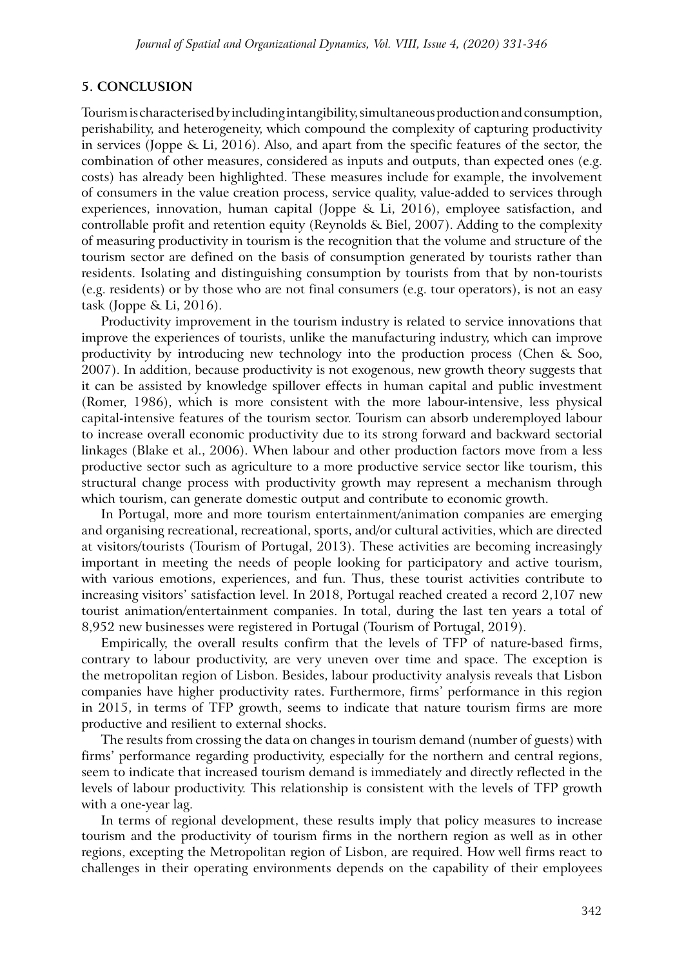### **5. CONCLUSION**

Tourism is characterised by including intangibility, simultaneous production and consumption, perishability, and heterogeneity, which compound the complexity of capturing productivity in services (Joppe & Li, 2016). Also, and apart from the specific features of the sector, the combination of other measures, considered as inputs and outputs, than expected ones (e.g. costs) has already been highlighted. These measures include for example, the involvement of consumers in the value creation process, service quality, value-added to services through experiences, innovation, human capital (Joppe & Li, 2016), employee satisfaction, and controllable profit and retention equity (Reynolds & Biel, 2007). Adding to the complexity of measuring productivity in tourism is the recognition that the volume and structure of the tourism sector are defined on the basis of consumption generated by tourists rather than residents. Isolating and distinguishing consumption by tourists from that by non-tourists (e.g. residents) or by those who are not final consumers (e.g. tour operators), is not an easy task (Joppe & Li, 2016).

Productivity improvement in the tourism industry is related to service innovations that improve the experiences of tourists, unlike the manufacturing industry, which can improve productivity by introducing new technology into the production process (Chen & Soo, 2007). In addition, because productivity is not exogenous, new growth theory suggests that it can be assisted by knowledge spillover effects in human capital and public investment (Romer, 1986), which is more consistent with the more labour-intensive, less physical capital-intensive features of the tourism sector. Tourism can absorb underemployed labour to increase overall economic productivity due to its strong forward and backward sectorial linkages (Blake et al., 2006). When labour and other production factors move from a less productive sector such as agriculture to a more productive service sector like tourism, this structural change process with productivity growth may represent a mechanism through which tourism, can generate domestic output and contribute to economic growth.

In Portugal, more and more tourism entertainment/animation companies are emerging and organising recreational, recreational, sports, and/or cultural activities, which are directed at visitors/tourists (Tourism of Portugal, 2013). These activities are becoming increasingly important in meeting the needs of people looking for participatory and active tourism, with various emotions, experiences, and fun. Thus, these tourist activities contribute to increasing visitors' satisfaction level. In 2018, Portugal reached created a record 2,107 new tourist animation/entertainment companies. In total, during the last ten years a total of 8,952 new businesses were registered in Portugal (Tourism of Portugal, 2019).

Empirically, the overall results confirm that the levels of TFP of nature-based firms, contrary to labour productivity, are very uneven over time and space. The exception is the metropolitan region of Lisbon. Besides, labour productivity analysis reveals that Lisbon companies have higher productivity rates. Furthermore, firms' performance in this region in 2015, in terms of TFP growth, seems to indicate that nature tourism firms are more productive and resilient to external shocks.

The results from crossing the data on changes in tourism demand (number of guests) with firms' performance regarding productivity, especially for the northern and central regions, seem to indicate that increased tourism demand is immediately and directly reflected in the levels of labour productivity. This relationship is consistent with the levels of TFP growth with a one-year lag.

In terms of regional development, these results imply that policy measures to increase tourism and the productivity of tourism firms in the northern region as well as in other regions, excepting the Metropolitan region of Lisbon, are required. How well firms react to challenges in their operating environments depends on the capability of their employees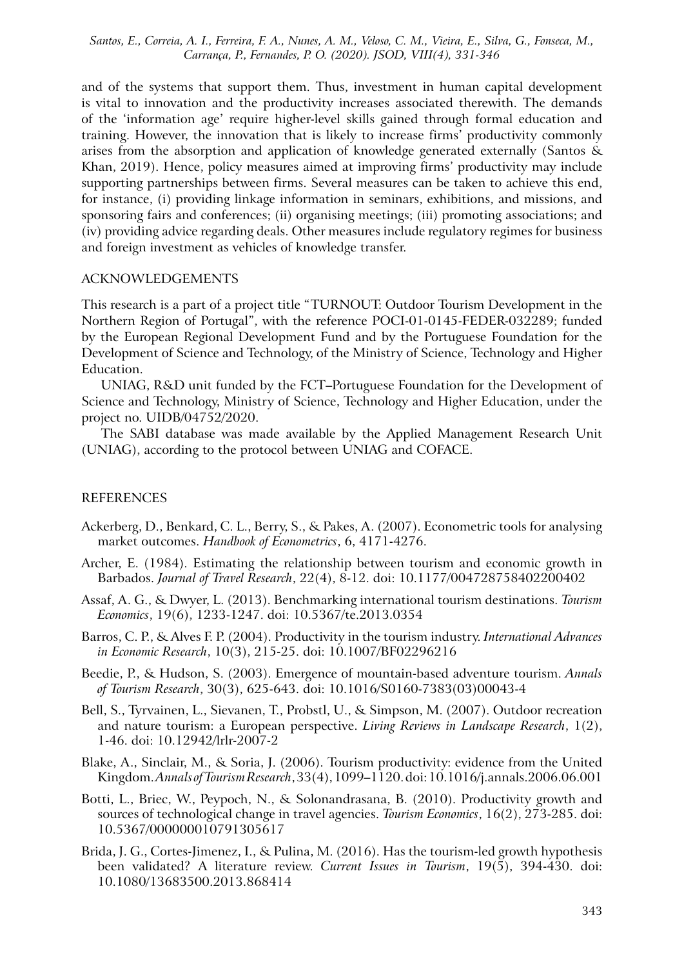and of the systems that support them. Thus, investment in human capital development is vital to innovation and the productivity increases associated therewith. The demands of the 'information age' require higher-level skills gained through formal education and training. However, the innovation that is likely to increase firms' productivity commonly arises from the absorption and application of knowledge generated externally (Santos & Khan, 2019). Hence, policy measures aimed at improving firms' productivity may include supporting partnerships between firms. Several measures can be taken to achieve this end, for instance, (i) providing linkage information in seminars, exhibitions, and missions, and sponsoring fairs and conferences; (ii) organising meetings; (iii) promoting associations; and (iv) providing advice regarding deals. Other measures include regulatory regimes for business and foreign investment as vehicles of knowledge transfer.

#### ACKNOWLEDGEMENTS

This research is a part of a project title "TURNOUT: Outdoor Tourism Development in the Northern Region of Portugal", with the reference POCI-01-0145-FEDER-032289; funded by the European Regional Development Fund and by the Portuguese Foundation for the Development of Science and Technology, of the Ministry of Science, Technology and Higher Education.

UNIAG, R&D unit funded by the FCT–Portuguese Foundation for the Development of Science and Technology, Ministry of Science, Technology and Higher Education, under the project no. UIDB/04752/2020.

The SABI database was made available by the Applied Management Research Unit (UNIAG), according to the protocol between UNIAG and COFACE.

#### **REFERENCES**

- Ackerberg, D., Benkard, C. L., Berry, S., & Pakes, A. (2007). Econometric tools for analysing market outcomes. *Handbook of Econometrics*, 6, 4171-4276.
- Archer, E. (1984). Estimating the relationship between tourism and economic growth in Barbados. *Journal of Travel Research*, 22(4), 8-12. doi: 10.1177/004728758402200402
- Assaf, A. G., & Dwyer, L. (2013). Benchmarking international tourism destinations. *Tourism Economics*, 19(6), 1233-1247. doi: 10.5367/te.2013.0354
- Barros, C. P., & Alves F. P. (2004). Productivity in the tourism industry. *International Advances in Economic Research*, 10(3), 215-25. doi: 10.1007/BF02296216
- Beedie, P., & Hudson, S. (2003). Emergence of mountain-based adventure tourism. *Annals of Tourism Research*, 30(3), 625-643. doi: 10.1016/S0160-7383(03)00043-4
- Bell, S., Tyrvainen, L., Sievanen, T., Probstl, U., & Simpson, M. (2007). Outdoor recreation and nature tourism: a European perspective. *Living Reviews in Landscape Research*, 1(2), 1-46. doi: 10.12942/lrlr-2007-2
- Blake, A., Sinclair, M., & Soria, J. (2006). Tourism productivity: evidence from the United Kingdom. *Annals of Tourism Research*, 33(4), 1099–1120. doi: 10.1016/j.annals.2006.06.001
- Botti, L., Briec, W., Peypoch, N., & Solonandrasana, B. (2010). Productivity growth and sources of technological change in travel agencies. *Tourism Economics*, 16(2), 273-285. doi: 10.5367/000000010791305617
- Brida, J. G., Cortes-Jimenez, I., & Pulina, M. (2016). Has the tourism-led growth hypothesis been validated? A literature review. *Current Issues in Tourism*, 19(5), 394-430. doi: 10.1080/13683500.2013.868414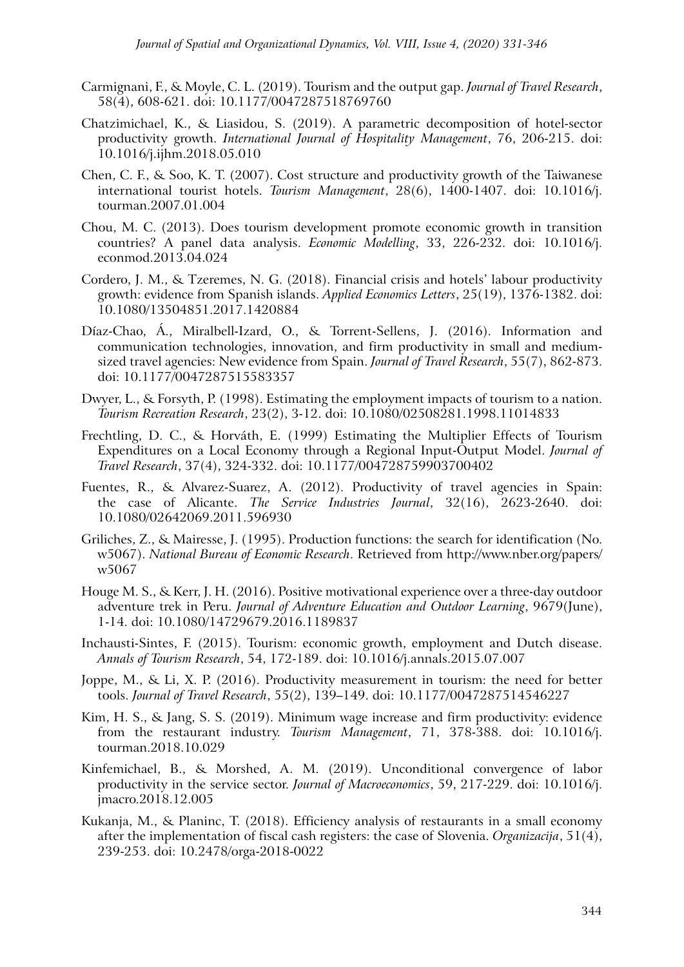- Carmignani, F., & Moyle, C. L. (2019). Tourism and the output gap. *Journal of Travel Research*, 58(4), 608-621. doi: 10.1177/0047287518769760
- Chatzimichael, K., & Liasidou, S. (2019). A parametric decomposition of hotel-sector productivity growth. *International Journal of Hospitality Management*, 76, 206-215. doi: 10.1016/j.ijhm.2018.05.010
- Chen, C. F., & Soo, K. T. (2007). Cost structure and productivity growth of the Taiwanese international tourist hotels. *Tourism Management*, 28(6), 1400-1407. doi: 10.1016/j. tourman.2007.01.004
- Chou, M. C. (2013). Does tourism development promote economic growth in transition countries? A panel data analysis. *Economic Modelling*, 33, 226-232. doi: 10.1016/j. econmod.2013.04.024
- Cordero, J. M., & Tzeremes, N. G. (2018). Financial crisis and hotels' labour productivity growth: evidence from Spanish islands. *Applied Economics Letters*, 25(19), 1376-1382. doi: 10.1080/13504851.2017.1420884
- Díaz-Chao, Á., Miralbell-Izard, O., & Torrent-Sellens, J. (2016). Information and communication technologies, innovation, and firm productivity in small and mediumsized travel agencies: New evidence from Spain. *Journal of Travel Research*, 55(7), 862-873. doi: 10.1177/0047287515583357
- Dwyer, L., & Forsyth, P. (1998). Estimating the employment impacts of tourism to a nation. *Tourism Recreation Research*, 23(2), 3-12. doi: 10.1080/02508281.1998.11014833
- Frechtling, D. C., & Horváth, E. (1999) Estimating the Multiplier Effects of Tourism Expenditures on a Local Economy through a Regional Input-Output Model. *Journal of Travel Research*, 37(4), 324-332. doi: 10.1177/004728759903700402
- Fuentes, R., & Alvarez-Suarez, A. (2012). Productivity of travel agencies in Spain: the case of Alicante. *The Service Industries Journal*, 32(16), 2623-2640. doi: 10.1080/02642069.2011.596930
- Griliches, Z., & Mairesse, J. (1995). Production functions: the search for identification (No. w5067). *National Bureau of Economic Research*. Retrieved from http://www.nber.org/papers/ w5067
- Houge M. S., & Kerr, J. H. (2016). Positive motivational experience over a three-day outdoor adventure trek in Peru. *Journal of Adventure Education and Outdoor Learning*, 9679(June), 1-14. doi: 10.1080/14729679.2016.1189837
- Inchausti-Sintes, F. (2015). Tourism: economic growth, employment and Dutch disease. *Annals of Tourism Research*, 54, 172-189. doi: 10.1016/j.annals.2015.07.007
- Joppe, M., & Li, X. P. (2016). Productivity measurement in tourism: the need for better tools. *Journal of Travel Research*, 55(2), 139–149. doi: 10.1177/0047287514546227
- Kim, H. S., & Jang, S. S. (2019). Minimum wage increase and firm productivity: evidence from the restaurant industry. *Tourism Management*, 71, 378-388. doi: 10.1016/j. tourman.2018.10.029
- Kinfemichael, B., & Morshed, A. M. (2019). Unconditional convergence of labor productivity in the service sector. *Journal of Macroeconomics*, 59, 217-229. doi: 10.1016/j. jmacro.2018.12.005
- Kukanja, M., & Planinc, T. (2018). Efficiency analysis of restaurants in a small economy after the implementation of fiscal cash registers: the case of Slovenia. *Organizacija*, 51(4), 239-253. doi: 10.2478/orga-2018-0022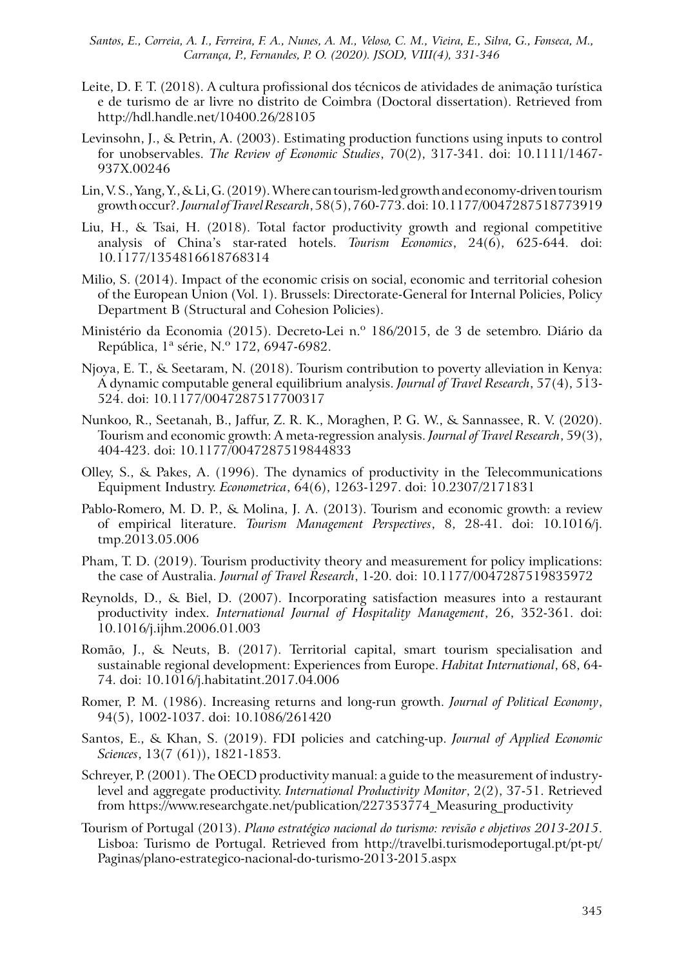- Leite, D. F. T. (2018). A cultura profissional dos técnicos de atividades de animação turística e de turismo de ar livre no distrito de Coimbra (Doctoral dissertation). Retrieved from http://hdl.handle.net/10400.26/28105
- Levinsohn, J., & Petrin, A. (2003). Estimating production functions using inputs to control for unobservables. *The Review of Economic Studies*, 70(2), 317-341. doi: 10.1111/1467- 937X.00246
- Lin, V. S., Yang, Y., & Li, G. (2019). Where can tourism-led growth and economy-driven tourism growth occur?. *Journal of Travel Research*, 58(5), 760-773. doi: 10.1177/0047287518773919
- Liu, H., & Tsai, H. (2018). Total factor productivity growth and regional competitive analysis of China's star-rated hotels. *Tourism Economics*, 24(6), 625-644. doi: 10.1177/1354816618768314
- Milio, S. (2014). Impact of the economic crisis on social, economic and territorial cohesion of the European Union (Vol. 1). Brussels: Directorate-General for Internal Policies, Policy Department B (Structural and Cohesion Policies).
- Ministério da Economia (2015). Decreto-Lei n.º 186/2015, de 3 de setembro. Diário da República, 1ª série, N.º 172, 6947-6982.
- Njoya, E. T., & Seetaram, N. (2018). Tourism contribution to poverty alleviation in Kenya: A dynamic computable general equilibrium analysis. *Journal of Travel Research*, 57(4), 513- 524. doi: 10.1177/0047287517700317
- Nunkoo, R., Seetanah, B., Jaffur, Z. R. K., Moraghen, P. G. W., & Sannassee, R. V. (2020). Tourism and economic growth: A meta-regression analysis. *Journal of Travel Research*, 59(3), 404-423. doi: 10.1177/0047287519844833
- Olley, S., & Pakes, A. (1996). The dynamics of productivity in the Telecommunications Equipment Industry. *Econometrica*, 64(6), 1263-1297. doi: 10.2307/2171831
- Pablo-Romero, M. D. P., & Molina, J. A. (2013). Tourism and economic growth: a review of empirical literature. *Tourism Management Perspectives*, 8, 28-41. doi: 10.1016/j. tmp.2013.05.006
- Pham, T. D. (2019). Tourism productivity theory and measurement for policy implications: the case of Australia. *Journal of Travel Research*, 1-20. doi: 10.1177/0047287519835972
- Reynolds, D., & Biel, D. (2007). Incorporating satisfaction measures into a restaurant productivity index. *International Journal of Hospitality Management*, 26, 352-361. doi: 10.1016/j.ijhm.2006.01.003
- Romão, J., & Neuts, B. (2017). Territorial capital, smart tourism specialisation and sustainable regional development: Experiences from Europe. *Habitat International*, 68, 64- 74. doi: 10.1016/j.habitatint.2017.04.006
- Romer, P. M. (1986). Increasing returns and long-run growth. *Journal of Political Economy*, 94(5), 1002-1037. doi: 10.1086/261420
- Santos, E., & Khan, S. (2019). FDI policies and catching-up. *Journal of Applied Economic Sciences*, 13(7 (61)), 1821-1853.
- Schreyer, P. (2001). The OECD productivity manual: a guide to the measurement of industrylevel and aggregate productivity. *International Productivity Monitor*, 2(2), 37-51. Retrieved from https://www.researchgate.net/publication/227353774\_Measuring\_productivity
- Tourism of Portugal (2013). *Plano estratégico nacional do turismo: revisão e objetivos 2013-2015*. Lisboa: Turismo de Portugal. Retrieved from http://travelbi.turismodeportugal.pt/pt-pt/ Paginas/plano-estrategico-nacional-do-turismo-2013-2015.aspx